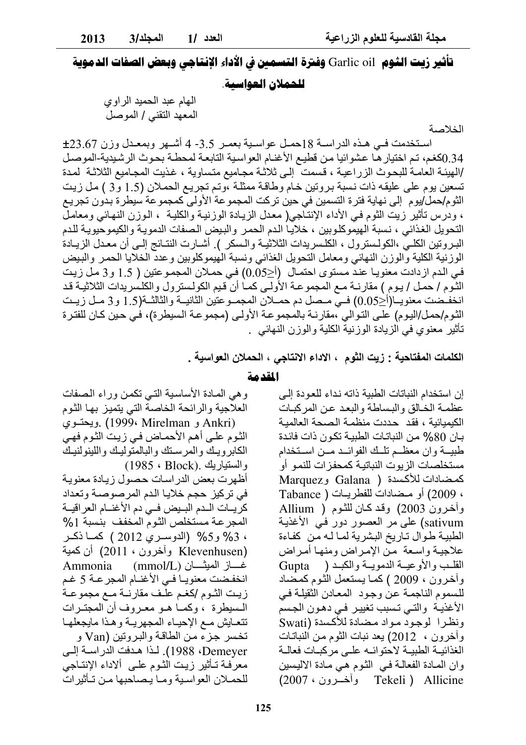الخلاصة

تأثير زيت الثـ90 Garlic oil وفترة التسمـن في الأداء الإنتاجي وبـعض الصفات الدموية

الهام عبد الحمید الر او ی المعهد التقني / الموصل

استخدمت في هذه الدراسة 18حمل عواسية بعمـر 3.5- 4 أشـهر وبمعـدل وزن 23.67± 0.34(كغم، تم اختيار هـا عشوائيا من قطيع الأغنـام العواسية التابعـة لمحطـة بحـوث الرشـيدية-الموصـل /الهيئـة العامـة للبحـوث الزراعيـة ، قسمت ۖ إلـى ثلاثـة مجـاميع متساوية ، غذيت المجـاميع الثلاثـة لمدة تسعين يوم على عليقه ذات نسبة بروتين خام وطاقة ممثلة ،وتم تجريع الحملان (1.5 و3 ) مل زيت الثوم/حمل/يوم إلى نهاية فترة التسمين في حين تركت المجموعة الأولى كمجموعة سيطرة بدون تجريع ، ودرس تأثير زيت الثوم فـي الأداء الإنتـّاجـي( معدل الزيـادة الوزنيـة والكليـة ، الـوزن النـهـائـي ومعامـل التحويل الغذائي ، نسبة الهيموكلوبين ، خلاياً الدم الحمر والبيض الصفات الدمويـة والكيموحيويـة للدم البروتين الكلَّـيّ ،الكولسترول ، الكلـسريدات الثلاثيــة والـسكر ). أشــارت النتــائج إلــي أن معـدل الزيــادة الوزنية الكلية والوزن النهائي ومعامل التحويل الغذائي ونسبة الهيموكلوبين وعدد الخلايا الحمر والبيض في الدم ازدادت معنويـا عند مستوى احتمـال (أ<0.05) في حمـلان المجمـوعتين ( 1.5 و3 مـل زيت النُّوم / حمل / بوم ) مقارنــة مــع المجموعــة الأولــى كمــا أنَّ قيم الكولـسترول والكلـسريدات الثلاثيــة قـد انخفـضت معنويــا(أ<0.05) فــي مــصل دم حمــلان المجمــوعتين الثانيــة والثالثــة(1.5 و3 مــل زيــت الثوم/حمل/اليوم) على التوالي ،مقارنـة بالمجموعـة الأولـى (مجموعـة السيطرة)، فـي حين كـان للفترة تأثير ۖ معنو ي في الز يادة الوز نية الكلية و الوز ن النهائي \_

الكلمات المفتاحية : زيت الثوم ، الاداء الانتاجي ، الحملان العواسية .

إن استخدام النباتات الطبية ذاته نداء للعودة إلى

عظمـة الخـالق والبـساطـة والبعـد عـن المر كبـات

الكبمبائية ، فقد حددت منظمة الصحة العالمية

بـان 80% مـن النباتـات الطبيـة تكـون ذات فائـدة

طبيــة وان معظــم تلــك الفوائــد مــن اســتخدام

مستخلصات الزيوت النباتية كمحفزات للنمو أو

كمضادات للأكسدة ( Galana وMarquez ، 2009) أو مضادات للفطريات ( Tabance

وأخرون 2003) وقد كان للثوم ( Allium

sativum) على مر العصور دور في الأغذية الطبية طوال تاريخ البشرية لما لـه من كفاءة

المقدمة

وهي المادة الأساسية التي تكمن وراء الصفات العلاجية والرائحة الخاصة التي يتميز بها الثوم (Ankri و Mirelman ويحتسوي) Ankri الثوم على أهم الأحماض في زيت الثوم فهي الكابرويك والمرسنك والبالمتوليك واللينولنيك والستياريك .Block) والستياريك أظهرت بعض الدر اسات حصول زيادة معنوية في تركيز حجم خلايا الدم المرصوصة وتعداد كريسات اللدم البليض فبي دم الأغنسام العراقيسة المجرعة مستخلص الثوم المخفف بنسبة 1% ، 3% و5% (الدوسري 2012 ) كما ذكـر (Klevenhusen وأخرون ، 2011) أن كمية Ammonia (mmol/L) غـــاز الميثـــان انخفضت معنويـاً فـي الأغنـام المجرعـة 5 غـم زيت الثوم إكغم علف مقارنية مع مجموعية المسيطرة ، وكما هـو معـروف أن المجتـرات تتعايش مع الإحياء المجهريبة وهذا مايجعلها تخسر جز ء من الطاقـة و البـر و تين (Van و Demeyer، 1988). لذا هدفت الدراسة إلى معرَّفة تـأثير زيت الثـوم علـى ألاداء الإنتـاجي للحملان العواسية وما يصاحبها من تـأثير ات

علاجيـة واسـعة مـنّ الإمـراض ومنهـا أمـراض القلَّـبِ والأوعيّـة الدِّمويــة والكبـد ( Gupta وأخرون ، 2009 ) كما يستعمل الثوم كمصّاد للسموم الناجمة عن وجود المعادن الثقيلة في الأغذيـة والتـى تـسبب تغييـر فـى دهـون الجسم ونظرا لوجود مواد مضادة للأكسدة (Swati وآخرون ، 2012) يعد نبات الثوم من النباتات الغذائية الطبية لاحتوائه علىي مركبات فعالمة وان المعادة الفعالمة في الشوم هي مادة الاليسين Tekeli ) Allicine وأخسرون ، 2007)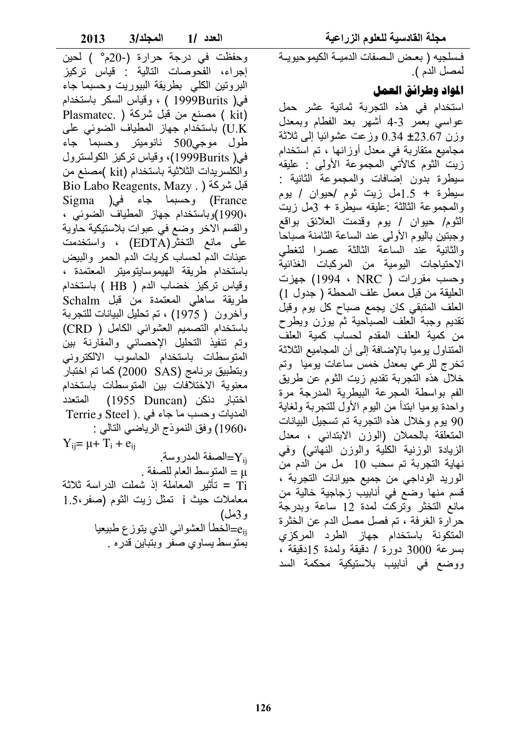2013 المجلد/3 العدد /1

وحفظت في درجة حرارة (-20م°) لحين إجراء، الفحوصات التالية : قياس تركيز البرونين الكلبى بطريقة البيوريت وحسبما جاء في( 1999Burits ) ، وقياس السكر باستخدام Plasmatec. ) مصنع من قبل شركة ( .Plasmatec U.K) باستخدام جهاز المطياف الضوئي على طول موجي500 نانوميتر وحسبما جاء في( 1999Burits)، وقياس تركيز الكولسترول والكلسريدات الثلاثية باستخدام (kit )مصنع من Bio Labo Reagents, Mazy . ) قبل شركة France) وحسبما جاء في( Sigma ،1990)وباستخدام جهاز المطياف الضوئي ، والقسم الاخر وضع في عبوات بلاستيكية حاوية على مانع التخثر(EDTA) ، واستخدمت عينات الدم لحساب كريات الدم الحمر والبيض باستخدام طريقة الهيموسايتوميتر المعتمدة ، وقياس تركيز خضاب الدم ( HB ) باستخدام طريقة ساهلي المعتمدة من قبل Schalm وأخرون ( 1975) ، تم تحليل البيانات للتجربة باستخدام التصميم العشوائي الكامل ( CRD) وتم تنفيذ التحليل الإحصائي والمقارنة بين المتوسطات باستخدام الحاسوب الالكتروني وبتطبيق برنامج (SAS) 2000) كما تم اختبار معنوية الاختلافات بين المتوسطات باستخدام اختبار دنكن (1955 Duncan) المتعدد المديات وحسب ما جاء في .( Steel وTerrie 1960۰) وفق النموذج الرياضـي التالـي :  $Y_{ij} = \mu + T_i + e_{ij}$ الصفة المدروسة\_ $\rm{Y_{ii}}$ u = المتوسط العام للصفة . Ti = تأثير المعاملة إذ شملت الدراسة ثلاثة معاملات حيث j تمثّل زيت الثوم (صفر ،1.5 و3مل) <sub>eii</sub>=الْخطأ العشوائي الذي يتوزع طبيعيا بمنوسط يساوي صفر وبنباين قدره .

فسلجيه ( بعض الصفات الدميــة الكيموحيويــة لمصل الدم ).

## المواد وطرائق العمل

استخدام في هذه التجربة ثمانية عشر حمل عواسي بعمر 3-4 أشهر بعد الفطام وبمعدل وزن 23.67± 0.34 وزعت عشوائيا إلى ثلاثة مجامیع متقاربة فی معدل أوزانها ، تم استخدام زيت الثوم كالأتي المجموعة الأولى : عليقه سيطرة بدون إضافات والمجموعة الثانية : سيطرة + 1.5مل زيت ثوم /حيوان / يوم والمحموعة الثالثة عليقه سيطرة + 3مل زيت الثوم/ حيوان / يوم وقدمت العلائق بواقع وجبتين باليوم الأولى عند الساعة الثامنة صباحا والثانية عند الساعة الثالثة عصرا لتغطى الاحتياجات اليومية من المركبات الغذائية وحسب مقررات ( NRC ، 1994 ) جهزت العليقة من قبل معمل علف المحطة ( جدول 1) العلف المتبقى كان يجمع صباح كل يوم وقبل تقديم وجبة العلف الصباحية ثم يوزن ويطرح من كمية العلف المقدم لحساب كمية العلف المتناول يوميا بالإضافة إلىي أن المجاميع الثلاثة تخرج للرعى بمعدل خمس ساعات بوميا وتم خلال هذه التجربة تقديم زيت الثوم عن طريق الفم بواسطة المجرعة البيطرية المدرجة مرة واحدة يوميا ابتدأ من اليوم الأول للتجربة ولغاية 90 يوم وخلال هذه التجربة تم تسجيل البيانات المتعلقة بالحملان (الوزن الابتدائي ، معدل الزيادة الوزنية الكلية والوزن النهائي) وفي نهاية التجربة تم سحب 10 مل من الدم من الوريد الوداجي من جميع حيوانات التجربة ، قسم منها وضع في أنابيب زجاجية خالية من مانع التخثر وتركت لمدة 12 ساعة وبدرجة حرارة الغرفة ، تم فصل مصل الدم عن الخثرة المتكونة باستخدام جهاز الطرد المركزي بسرعة 3000 دورة / دقيقة ولمدة 15دقيقة ، ووضع في أنابيب بلاستيكية محكمة السد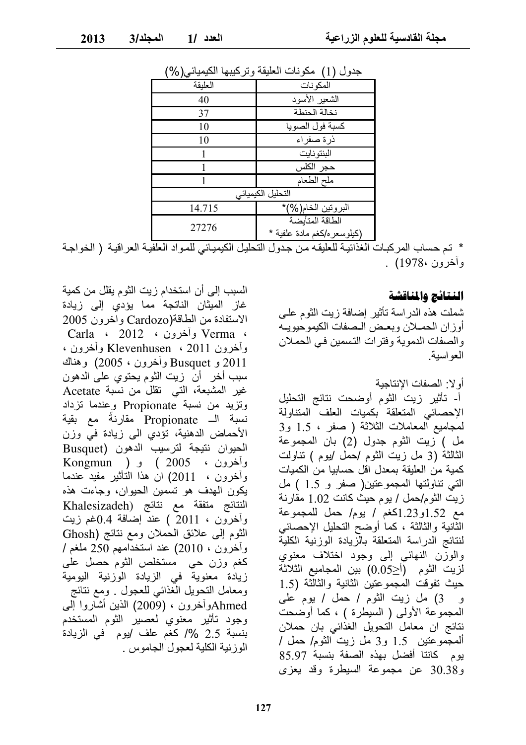| پγ • ≀ ∖<br>ぃ. 、 、 |                                                |
|--------------------|------------------------------------------------|
| العلبقة            | المكونات                                       |
| 40                 | الشعير الأسود                                  |
| 37                 | نخالة الحنطة                                   |
| 10                 | كسبة فول الصويا                                |
| 10                 | ذرة صفراء                                      |
|                    | البنتونايت                                     |
|                    | حجر الكلس                                      |
|                    | ملح الطعام                                     |
|                    | التحليل الكيميائي                              |
| 14.715             | البروتين الخام(%)*                             |
| 27276              | الطاقة المتأبضة<br>(كيلوسعر ه/كغم مادة علفبة * |

حدول (1) مكونات العليقة وتركيبها الكيميائي (%)

\* تم حساب المركبـات الـغذائيـة للـعليقـه مـن جـدول التحليـل الكيميـائـي للمـواد الـعلفيـة الـعراقيـة ( الخواجـة وأخرون 1978) .

#### النتائج والمناقشة

شملت هذه الدراسة تأثير إضافة زيت الثوم على أوزان الحملان وبعض الصفات الكيموحيويـه والصفات الدموية وفترات التسمين في الحملان العو اسية.

أو لا: الصفات الانتاجبة

أ- تأثير زيت الثوم أوضحت نتائج التحليل الإحصائي المتعلقة بكميات العلف المتناولة لمجاميع المعاملات الثلاثة ( صفر ، 1.5 و3 مل ) زيت الثوم جدول (2) بان المجموعة الثالثة (3 مل زيت الثوم /حمل /يوم ) تناولت كمبة من العلبقة بمعدل اقل حسابيا من الكمبات التي تناولتها المجموعتين(صفر و 1.5 ) مل زبت النوم/حمل / بوم حبث كانت 1.02 مقارنة مع 1.52و1.23 كغم / يوم / حمل للمجموعة الثانية والثالثة ، كما أوضح التحليل الإحصائي لنتائج الدراسة المتعلقة بالزيادة الوزنية الكلية والوزن النهائبي إلى وجود اختلاف معنوى لزيت الثوم (أ<0.05) بين المجاميع الثلاثة حيث تفوقت المجموعتين الثانية والثالثة (1.5 و 3) مل زيت الثوم / حمل / يوم علمي المجموعة الأولى ( السيطرة ) ، كما أوضحت نتائج ان معامل التحويل الغذائبي بان حملان ألمجموعتين 1.5 و3 مل زيت الثوم/ حمل / يوم كانتا أفضل بهذه الصفة بنسبة 85.97 و30.38 عن مجموعة السيطرة وقد يعزى

السبب إلى أن استخدام زيت الثوم يقلل من كمية غاز الميثان الناتجة مما يؤدى إلى زيادة الاستفادة من الطاقة(Cardozo واخرون 2005 ، Verma وأخرون ، 2012 ، Carla وأخرون 2011 ، Klevenhusen وأخرون ، 2011 و Busquet وأخرون ، 2005) وهناك سبب أخرٍ أن زيت الثوم يحتوي على الدهون غير المشبعة، التي تقلل من نسبة Acetate وتزيد من نسبة Propionate وعندما نزداد نسبة الــ Propionate مقارنة مع بقية الأحماض الدهنية، تؤدي الىي زيادة في وزن الحيوان نتيجة لترسيب الدهون (Busquet وأخرون ، 2005 ) و ( Kongmun وأخرون ، 2011) ان هذا النَّاثير مفيدٌ عندما يكون الهدف هو تسمين الحيوان، وجاءت هذه النتائج متفقة مع نتائج (Khalesizadeh وأخرون ، 2011 ) عند إضافة 0.4غم زيت الثوم إلى علائق الحملان ومع نتائج (Ghosh وأخرون ، 2010) عند استخدامهم 250 ملغم / كغم وزن حي مستخلص الثوم حصل على زيادة معنوية في الزيادة الوزنية اليومية ومعامل التحويل الغذائبي للعجول . ومع نتائج Ahmedوأخرون ، (2009) الذين أشاروا إلى وجود تأثير معنوي لعصير الثوم المستخدم بنسبة 2.5 %/ كغم علف /يوم في الزيادة الو ز نبـه الكلبـه لـعـجو ل الـجـامو س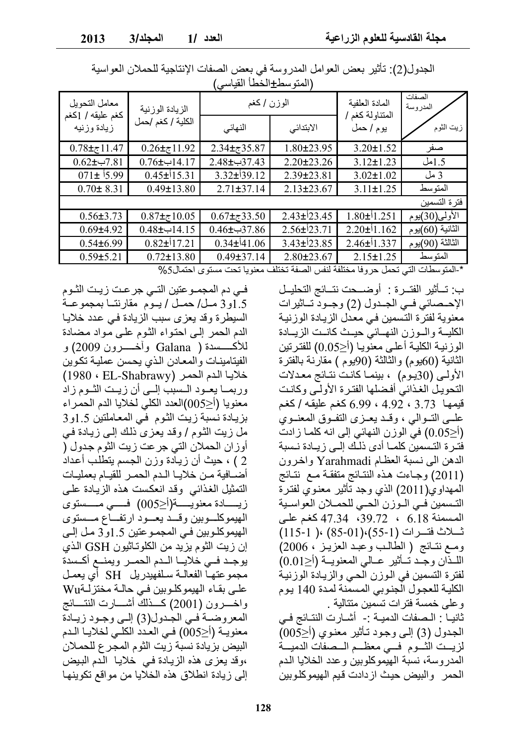| المتوسط <del>_</del> الحص العياسي |                   |                    |                          |                              |                    |  |  |
|-----------------------------------|-------------------|--------------------|--------------------------|------------------------------|--------------------|--|--|
| معامل التحويل                     | الزيادة الوزنية   | الوزن / كغم        |                          | المادة العلفبة               | الصفات<br>المدروسة |  |  |
| كغم عليقه / [كغم<br>زيادة وزنيه   | الكلية / كغم /حمل | النهائي            | الابتدائى                | المتناولة كغم ا<br>يوم / حمل | زيت الثوم          |  |  |
| $0.78 \pm 11.47$                  | $0.26 \pm 11.92$  | $2.34\pm7.35.87$   | $1.80 \pm 23.95$         | $3.20 \pm 1.52$              | صفر                |  |  |
| $0.62 \pm 7.81$                   | $0.76$ +ب $14.17$ | 37.43ب±2.48        | $2.20 \pm 23.26$         | $3.12 \pm 1.23$              | 1.5مل              |  |  |
| $071\pm 15.99$                    | $0.45\pm 15.31$   | $3.32\pm$ 39.12    | 2.39±23.81               | $3.02 \pm 1.02$              | 3 مل               |  |  |
| $0.70 \pm 8.31$                   | $0.49 \pm 13.80$  | $2.71 \pm 37.14$   | $2.13 \pm 23.67$         | $3.11 \pm 1.25$              | المتوسط            |  |  |
|                                   |                   |                    |                          |                              | فتر ة التسمين      |  |  |
| $0.56 \pm 3.73$                   | $0.87 \pm 10.05$  | $0.67 \pm 0.33.50$ | $2.43\pm 23.45$          | $1.80\pm 1.251$              | الأولى(30)يوم      |  |  |
| $0.69{\pm}4.92$                   | $0.48 + 14.15$    | $0.46 \pm 37.86$   | $2.56\pm 23.71$          | $2.20\pm 1.162$              | الثانية (60)يوم    |  |  |
| $0.54 \pm 6.99$                   | $0.82\pm 17.21$   | $0.34\pm 41.06$    | $3.43\pm\frac{1}{2}3.85$ | $2.46\pm 1.337$              | الثالثة (90)يوم    |  |  |
| $0.59 \pm 5.21$                   | $0.72 \pm 13.80$  | $0.49 \pm 37.14$   | $2.80 \pm 23.67$         | $2.15 \pm 1.25$              | المتوسط            |  |  |

الجدول(2): تأثير بعض العوامل المدروسة في بعض الصفات الإنتاجية للحملان العواسية الأمتعد سططا اخطأ القداس

\*-المتوسطات التي تحمل حروفا مختلفة لنفس الصفة تختلف معنويا تحت مستوى احتمال5%

ب: تسأثير الفتــر ة : أو ضـــحت نتــائج التحليــل الإحساني فـي الجـدول (2) وجـود تـاثيرات معنوية لفترة التسمين في معدل الزيادة الوزنية الكلية والوزن النهائي حيث كانت الزيادة الوزنية الكلية أعلى معنّويـا (أ<0.05) للفترتين الثانية (60يوم) والثالثة (90يوم ) مقارنة بالفترة الأولىي (30يوم) ، بينمـا كانـت نتـائج معـدلات التحويل الغذائي أفضلها الفترة الأولى وكانت قيمها 3.73 ، 4.92 ، 6.99 كغم عليقه / كغم علسي التسوالبي ، وقبد يعيز ي النفيوق المعنسوي (أ<0.05) في الوزن النهائي إلى انه كلما زادت فترة التسمين كلمــا أدى ذلـك إلــى زيــادة نـسبة الدهن الى نسبة العظام Yarahmadi واخرون (2011) وجاءت هذه النتائج متفقة مع نتائج المهداوي(2011) الذي وجد تأثير معنوى لفترة التسمين في الوزن الحي للحملان العواسية المسمنة 6.18 ، 39.72، 47.34 كغم على ئسلاث فتسرات (1-55)،(85-01) ،( 115-1) ومع نتائج (الطالب وعبد العزيـز ، 2006) اللَّـذَّانِ وجَّـد تَــأَثيرِ عــالى المعنويــة (أ<0.01) لفترة التسمين في الوزن الحي والزيادة الوزنية الكلية للعجول الجنوبي المسمّنة لمدة 140 يوم وعلى خمسة فترات تسمين متتالية ثانيـا : الـصفات الدميــة :- أشــارت النتــائج فــي الجدول (3) إلىي وجود تـأثير معنوى (أ<005) لزيــت الشــوم فــي معظــم الــصفاتُ الدميــة المدروسة، نسبة الهيموكلوبين وعدد الخلايا الدم الحمر والبيض حيث ازدادت قيم الهيموكلوبين

فـي دم المجمــوعتين التــي جرعـت زيـت الثــوم 1.5و3 مـل/ حمـل / يـوم مقارنتــا بمجموعــة السيطرة وقد يعزى سبب الزيادة في عدد خلايا الدم الحمر إلى احتواء الثوم على مواد مضادة الفينامينات والمعادن الذي يحسن عملية تكوين خلايا الدم الحمر (EL-Shabrawy) خلايا الدم الحمر وربمــا يعــود الــسبب إلـــي أن زيــت الشـوم زاد معنويا (أ<005)العدد الكلي لخلايا الدم الحمراء بزيادة نسبة زيت الثوم في المعاملتين 1.5و3 مل زيت الثوم / وقد يعزي ذلك إلى زيادة في أوزان الحملان التي جرعت زيت الثوم جدول ( 2 ) ، حيث أن زيادة وزن الجسم يتطلب أعداد أضمافية من خلايـا الـدم الحمـر للقيـام بعمليـات التمثيل الغذائبي وقد انعكست هذه الزيادة علىي زيــــــادة معنويــــــة(أ<005) فــــــى مــــــستوى الهيموكلسوبين وقسد يعسود ارتفساع مسستوى المهيموكلــوبين فــي المجمــوعتين 1.5و3 مـل إلــي إن زيت الثوم يزيد من الكلوتـاثيون GSH الذي يوجد فيي خلايا الهدم الحمير ويمنيع أكسدة مجموعتهـا الفعالـة سـلفهيدريل SH أي يعمـل على بقاء الهيموكلوبين في حالة مختزلةWu واخسرون (2001) كـــذلك أشــــارت النتــــائج المعروضية في الجدول(3) إلى وجود زيادة معنويــة (أح005) فــي العـدد الكلــي لخلايــا الـدم البيض بزيادة نسبة زيت الثوم المجرع للحملان ،وقد يعزى هذه الزيادة في خلايا الَّدم البيض إلى زيادة انطلاق هذه الخلايا من مو اقع تكوينها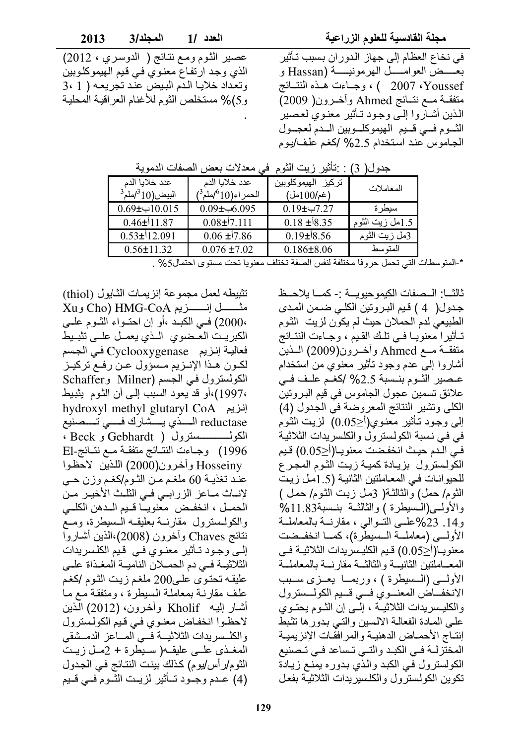مجلة القادسية للعلوم الزراعية

عصير الثوم ومع نتائج ( الدوسري ، 2012) الذي وجد ارتفاع معنوي في قيم الهيموكلوبين وتعداد خلايا الدم البيض عند تجريعه ( 1 3، و5)% مستخلص الثوم للأغنام العراقية المحلية

في نخاع العظام إلى جهاز الدوران بسبب تأثير بعسض العوامسل الهرمونيسة (Hassan و Youssef ، 2007 ) ، وجباءت هيذه النتسائج متفقــة مــع نتــائج Ahmed وأخـرون( 2009) الذين أشآروا إلـَّى وجود تـأثير معذويُ لعصير الثوم فسي قسيم الهيموكلوبين السدم لعجول الجاموس عند استخدام 2.5% /كغم علف/يوم

|                                           | معدلات بعض الصفات الدموية                         |                                     | جدويںر          |
|-------------------------------------------|---------------------------------------------------|-------------------------------------|-----------------|
| عدد خلابا الدم<br>$^3$ البيض(10 $^3$ املم | عدد خلابا الدم<br>الحمر اء(10°/ملم <sup>3</sup> ) | تركيز الهيموكلوبين<br>$($ غم/100مل) | المعاملات       |
| $0.69 \pm 10.015$                         | 0.09± $\leftarrow 6.095$                          | $0.19$ ب $-7.27$                    | سيطر ة          |
| $0.46\pm$ 11.87                           | $0.08\pm 7.111$                                   | $0.18 \pm 8.35$                     | 1.5مل زيت الثوم |
| $0.53\pm12.091$                           | $0.06 \pm 7.86$                                   | $0.19\pm$ 8.56                      | 3مل زيت الثوم   |
| $0.56 \pm 11.32$                          | $0.076 \pm 7.02$                                  | $0.186 \pm 8.06$                    | المتوسط         |

|  |  | جدو ل( 3) : تأثير  زيت الثو م  في معدلات بعض الصفات الدموية |  |  |  |
|--|--|-------------------------------------------------------------|--|--|--|
|  |  |                                                             |  |  |  |

\*-المتوسطات التي تحمل حروفا مختلفة لنفس الصفة تختلف معنويا تحت مستوى احتمال5% .

ثالثـــا: الــصفات الكيموحيويـــة :- كمـــا يلاحــظ جدول( 4 ) قيم البروتين الكلي ضمن المدى الطبيعي لدم الحملان حيث لم يكون لزيت الثوم تـأثيرا معنويـا فـي تلـك القـيم ، وجـاءت النتـائج متفقــة مــع Ahmed وأخــرون(2009) الــذين أشاروا إلى عدم وجود نـأثير معنوى من استخدام عصير الشوم بنسبة 2.5% /كغم علف في علائق تسمين عجول الجاموس في قيم البروتين الكلي وتشير النتائج المعروضة في الجدول (4) إلى وْجُودْ تَـأْثير مَعْنُوي(أ≤0.05) لزيت الثوم في في نسبة الكولسترول والكلسريدات الثلاثية في الـدم حيث انخفـضت معنويـا(أ≤0.05) قيم الكولسترول بزيادة كمية زيت الثوم المجرع للحيوانـات فـي المعـاملتين الثانيـة (1.5مـل زيـت الثوم/ حمل) وْالثَّالثَّة( 3مل زيت الثوم/ حمل ) والأولى (السيطرة) والثالثة بنسبة33.11% و14. 23%علــي التــوالـي ، مقارنـــة بالمعاملـــة الأولسي (معاملية السليطرة)، كميا انخفيضت معنويـا(أح0.05) قـيم الكليـسريدات الثلاثيــة فـي المعاملتين الثانيسة والثالثسة مقارنسة بالمعاملسة الأولسي (السسيطرة ) ، وربمـا يعـزى سـبب الانخفاض المعنوى في قبيم الكولستزول والكليسريدات الثلاثيــة ، إلــى إن الشوم يحتــوى علىي المادة الفعالية الالسين والتبي بدورها تثبط إنتـاج الأحمـاض الدهنيـة والمرافقـات الإنزيميـة المختزلة في الكبد والتي تساعد في تصنيع الكولسترول في الكبد والذي بدوره يمنع زيادة تكوين الكولسترول والكلسيريدات الثلاثية بفعل

تثبيطه لعمل مجموعة إنزيمات الثايول (thiol) A متشسل إنسسريم Cho) HMG-CoA وXu 20000) في الكبـد ،أو إن احتـواء الشوم علـي الكبريت العضوى المذى يعمل علمى تثبيط فعالية إنزيم Cyclooxygenase في الجسم لكون هذا الإنـزيم مـسؤول عـن رفـع تركيـز الكولسترول في الجسم (Milner وSchaffer ،1997)،أو قد يعود السبب إلىي أن الثوم يثبيط hydroxyl methyl glutaryl CoA إنزيم 1996) وجاءت النتائج متفقة مع نتـائج-El Hosseiny وأخرون(2000) اللذين الاحظوا عند تغذيـة 60 ملغـم مـن الشوم/كغـم وزن حـي لإنــاث مــاعز الزرابــي فــي الثلـث الأخيـر مـن الحمـل ، انخفـض معنويــا قـبم الــدهن الكلــى والكولسنرول مقارنية بعليقيه السيطرة، ومع نتائج Chaves وأخرون (2008)،الذين أشاروا إلـيّ وجـود تـأثير معنـوي فـي قـيم الكلـسريدات الثلاثيــة فــي دم الحمــلان الناميــة المغـذاة علــي عليقه تحتوى على200 ملغم زيت الثوم /كغم علف مقارنـة بمعاملـة السبطرة ، ومتفقـة مـع مـا أشار إليـه Kholif وأخرون، (2012) الَّذين لاحظوا انخفاض معنوي في قيم الكولسترول والكلسر يدات الثلاثيسة فسى المساعز الدمسشقى المغـذي علــي عليقــه( ســيطرة + 2مـل زيـتٌ الثوم/ر أس/يوم) كذلك بينت النتائج في الجدول (4) عـدم وجـود تــأثير لزيـت الثّـوم فــي قـيم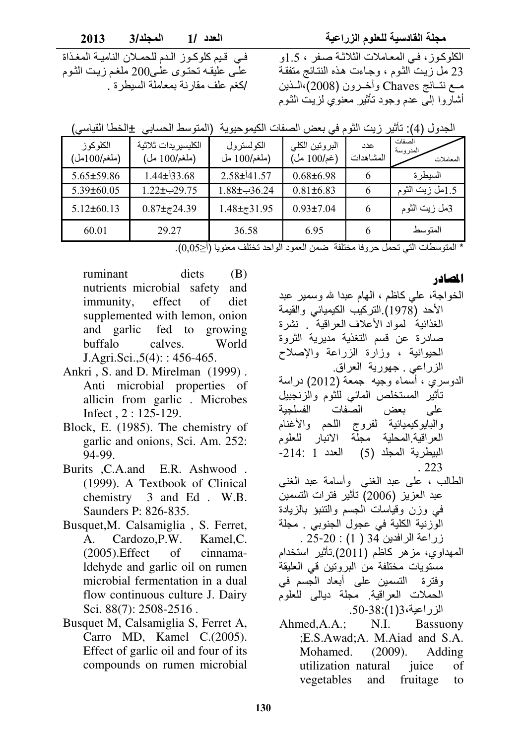مجلة القادسية للعلوم الزراعي

2013 المجلد/3 العدد /1

> الكلوكوز ، في المعاملات الثلاثة صفر ، 1.5و 23 مل زيت الثوم ، وجاءت هذه النتائج متفقة مسع نتسائج Chaves وأخبرون (2008)،السذين أشاروا إلى عدم وجود تأثير معنوي لزيت الثوم

فـي قـيم كلوكـوز الـدم للحمـلان الناميـة المغـذاة علـي عليقـه تحتـوي علـي200 ملغـم زيـت الثـوم /كغم علف مقار نة بمعاملة السبطر ة.

| الجدول (4): تأثير زيت الثوم في بعض الصفات الكيموحيوية  (المتوسط الحسابي  ±الخطا القياسي) |  |  |
|------------------------------------------------------------------------------------------|--|--|
|------------------------------------------------------------------------------------------|--|--|

| الكلو كو ز<br>(ملغم/100مل) | الكليسير يدات ثلاثية<br>(ملغم/100 مل) | الكولستر ول<br>(ملغم/100 مل | البروتين الكلى<br>(غم/100 مل) | عدد<br>المشاهدات | الصفات<br>المدروسة<br>المعاملات |
|----------------------------|---------------------------------------|-----------------------------|-------------------------------|------------------|---------------------------------|
| $5.65 \pm 59.86$           | $1.44\pm$ 33.68                       | $2.58\pm$ 41.57             | $0.68 \pm 6.98$               |                  | السيطر ة                        |
| $5.39 \pm 60.05$           | 29.75ب±1.22                           | $1.88 \pm 36.24$            | $0.81 \pm 6.83$               |                  | 1.5مل زيت الثوم                 |
| $5.12 \pm 60.13$           | $0.87 \pm 24.39$                      | $1.48 \pm 31.95$            | $0.93 \pm 7.04$               |                  | 3مل زيت الثوم                   |
| 60.01                      | 29.27                                 | 36.58                       | 6.95                          |                  | المتو سط                        |

\* المتوسطات التي تحمل حروفا مختلفة ضمن العمود الواحد تختلف معنويا (أ $\leq 0.05$ ).

ruminant diets (B) nutrients microbial safety and immunity, effect of diet supplemented with lemon, onion and garlic fed to growing buffalo calves. World  $J. Agri. Sci., 5(4): : 456-465.$ 

- Ankri , S. and D. Mirelman (1999) . Anti microbial properties of allicin from garlic . Microbes Infect , 2 : 125-129.
- Block, E. (1985). The chemistry of garlic and onions, Sci. Am. 252: 94-99.
- Burits ,C.A.and E.R. Ashwood . (1999). A Textbook of Clinical chemistry 3 and Ed . W.B. Saunders P: 826-835.
- Busquet,M. Calsamiglia , S. Ferret, A. Cardozo,P.W. Kamel,C. (2005).Effect of cinnamaldehyde and garlic oil on rumen microbial fermentation in a dual flow continuous culture J. Dairy Sci. 88(7): 2508-2516 .
- Busquet M, Calsamiglia S, Ferret A, Carro MD, Kamel C.(2005). Effect of garlic oil and four of its compounds on rumen microbial

المصادر

- الخواجة، على كاظم ، الهام عبدا لله وسمير عبد الأحد (1978) التركيب الكيميائي والقيمة الغذائية لمواد الأعلاف العراقية . نشرة صادرة عن قسم التغذية مديرية الثروة الحيوانية ، وزارة الزراعة والإصلاح الزراعي <sub>.</sub> جهورية العراق.
- الدوسري ، أسماء وجيه جمعة (2012) دراسة تَأْثِير المستخلص المائي للثوم والزنجبيل على بعض الصفات الفسلجية والبايوكيميائية لفروج اللحم والأغنام العراقية المحلية مجلة الانبار للعلوم  $-214$ : 1 البيطرية المجلد (5) العدد . 223
- الطالب ، على عبد الغني وأسامة عبد الغنى عبد العزيز (2006) تأثير فترات التسمين في وزن وقياسات الجسم والنتنبؤ بالزيادة الوزنية الكلية في عجول الجنوبي . مجلة  $.25 - 20 : (1)$ 34 زراعة الرافدين 34
- الممهداوي، مز هر كاظم (2011) تأثير استخدام مستويات مختلفة من البر وتين في العليقة وفترة التسمين على أبعاد الجسم في الحملات العراقية مجلة ديالي للعلوم الزراعية،1(1):38-50.
- Ahmed,A.A.; N.I. Bassuony ;E.S.Awad;A. M.Aiad and S.A. Mohamed. (2009). Adding utilization natural juice of vegetables and fruitage to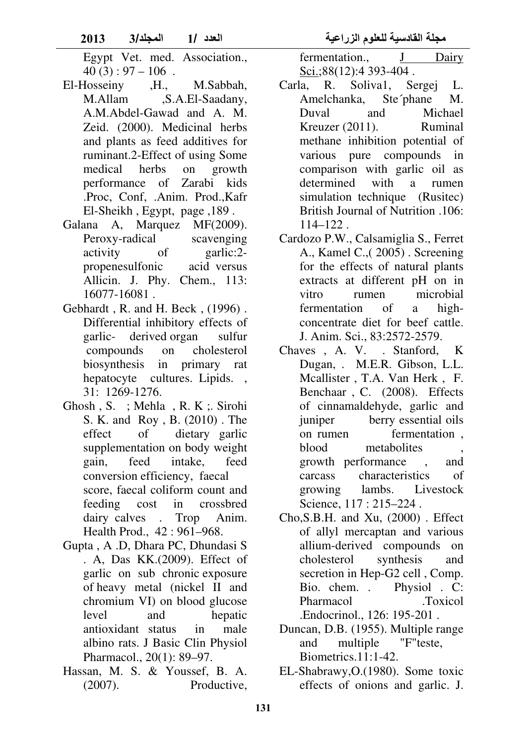- Egypt Vet. med. Association.,  $40 (3): 97 - 106$ .
- El-Hosseiny ,H., M.Sabbah, M.Allam ,S.A.El-Saadany, A.M.Abdel-Gawad and A. M. Zeid. (2000). Medicinal herbs and plants as feed additives for ruminant.2-Effect of using Some medical herbs on growth performance of Zarabi kids .Proc, Conf, .Anim. Prod.,Kafr El-Sheikh , Egypt, page ,189 .
- Galana A, Marquez MF(2009). Peroxy-radical scavenging activity of garlic:2 propenesulfonic acid versus Allicin. J. Phy. Chem., 113: 16077-16081 .
- Gebhardt , R. and H. Beck , (1996) . Differential inhibitory effects of garlic- derived organ sulfur compounds on cholesterol biosynthesis in primary rat hepatocyte cultures. Lipids., 31: 1269-1276.
- Ghosh , S. ; Mehla , R. K ;. Sirohi S. K. and Roy , B. (2010) . The effect of dietary garlic supplementation on body weight gain, feed intake, feed conversion efficiency, faecal score, faecal coliform count and feeding cost in crossbred dairy calves . Trop Anim. Health Prod., 42 : 961–968.
- Gupta , A .D, Dhara PC, Dhundasi S . A, Das KK.(2009). Effect of garlic on sub chronic exposure of heavy metal (nickel II and chromium VI) on blood glucose level and hepatic antioxidant status in male albino rats. J Basic Clin Physiol Pharmacol., 20(1): 89–97.
- Hassan, M. S. & Youssef, B. A. (2007). Productive,

fermentation., J Dairy Sci.;88(12):4 393-404.

- Carla, R. Soliva1, Sergej L. Amelchanka, Ste´phane M. Duval and Michael Kreuzer (2011). Ruminal methane inhibition potential of various pure compounds in comparison with garlic oil as determined with a rumen simulation technique (Rusitec) British Journal of Nutrition .106: 114–122 .
- Cardozo P.W., Calsamiglia S., Ferret A., Kamel C.,( 2005) . Screening for the effects of natural plants extracts at different pH on in vitro rumen microbial fermentation of a highconcentrate diet for beef cattle. J. Anim. Sci., 83:2572-2579.
- Chaves , A. V. . Stanford, K Dugan, . M.E.R. Gibson, L.L. Mcallister , T.A. Van Herk , F. Benchaar , C. (2008). Effects of cinnamaldehyde, garlic and juniper berry essential oils on rumen fermentation , blood metabolites growth performance , and carcass characteristics of growing lambs. Livestock Science, 117 : 215–224 .
- Cho,S.B.H. and Xu, (2000) . Effect of allyl mercaptan and various allium-derived compounds on cholesterol synthesis and secretion in Hep-G2 cell , Comp. Bio. chem. . Physiol . C: Pharmacol .Toxicol .Endocrinol., 126: 195-201 .
- Duncan, D.B. (1955). Multiple range and multiple "F"teste, Biometrics.11:1-42.
- EL-Shabrawy,O.(1980). Some toxic effects of onions and garlic. J.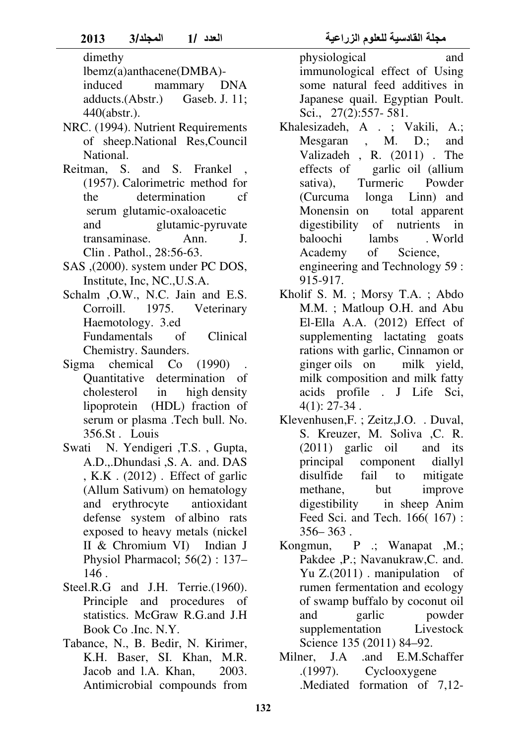- NRC. (1994). Nutrient Requirements of sheep.National Res,Council National.
- Reitman, S. and S. Frankel (1957). Calorimetric method for the determination cf serum glutamic-oxaloacetic and glutamic-pyruvate transaminase. Ann. J. Clin . Pathol., 28:56-63.
- SAS ,(2000). system under PC DOS, Institute, Inc, NC.,U.S.A.
- Schalm ,O.W., N.C. Jain and E.S. Corroill. 1975. Veterinary Haemotology. 3.ed Fundamentals of Clinical Chemistry. Saunders.
- Sigma chemical Co (1990) Quantitative determination of cholesterol in high density lipoprotein (HDL) fraction of serum or plasma .Tech bull. No. 356.St . Louis
- Swati N. Yendigeri ,T.S. , Gupta, A.D.,.Dhundasi ,S. A. and. DAS , K.K . (2012) . Effect of garlic (Allum Sativum) on hematology and erythrocyte antioxidant defense system of albino rats exposed to heavy metals (nickel II & Chromium VI) Indian J Physiol Pharmacol;  $56(2)$ : 137-146 .
- Steel.R.G and J.H. Terrie.(1960). Principle and procedures of statistics. McGraw R.G.and J.H Book Co .Inc. N.Y.
- Tabance, N., B. Bedir, N. Kirimer, K.H. Baser, SI. Khan, M.R. Jacob and l.A. Khan, 2003. Antimicrobial compounds from

physiological and immunological effect of Using some natural feed additives in Japanese quail. Egyptian Poult. Sci., 27(2):557- 581.

- Khalesizadeh, A . ; Vakili, A.; Mesgaran , M. D.; and Valizadeh , R. (2011) . The effects of garlic oil (allium sativa), Turmeric Powder (Curcuma longa Linn) and Monensin on total apparent digestibility of nutrients in baloochi lambs . World Academy of Science, engineering and Technology 59 : 915-917.
- Kholif S. M. ; Morsy T.A. ; Abdo M.M. ; Matloup O.H. and Abu El-Ella A.A. (2012) Effect of supplementing lactating goats rations with garlic, Cinnamon or ginger oils on milk yield, milk composition and milk fatty acids profile . J Life Sci, 4(1): 27-34 .
- Klevenhusen,F. ; Zeitz,J.O. . Duval, S. Kreuzer, M. Soliva ,C. R. (2011) garlic oil and its principal component diallyl disulfide fail to mitigate methane, but improve digestibility in sheep Anim Feed Sci. and Tech. 166( 167) :  $356 - 363$ .
- Kongmun, P .; Wanapat ,M.; Pakdee ,P.; Navanukraw,C. and. Yu Z.(2011) . manipulation of rumen fermentation and ecology of swamp buffalo by coconut oil and garlic powder supplementation Livestock Science 135 (2011) 84–92.
- Milner, J.A .and E.M.Schaffer .(1997). Cyclooxygene .Mediated formation of 7,12-